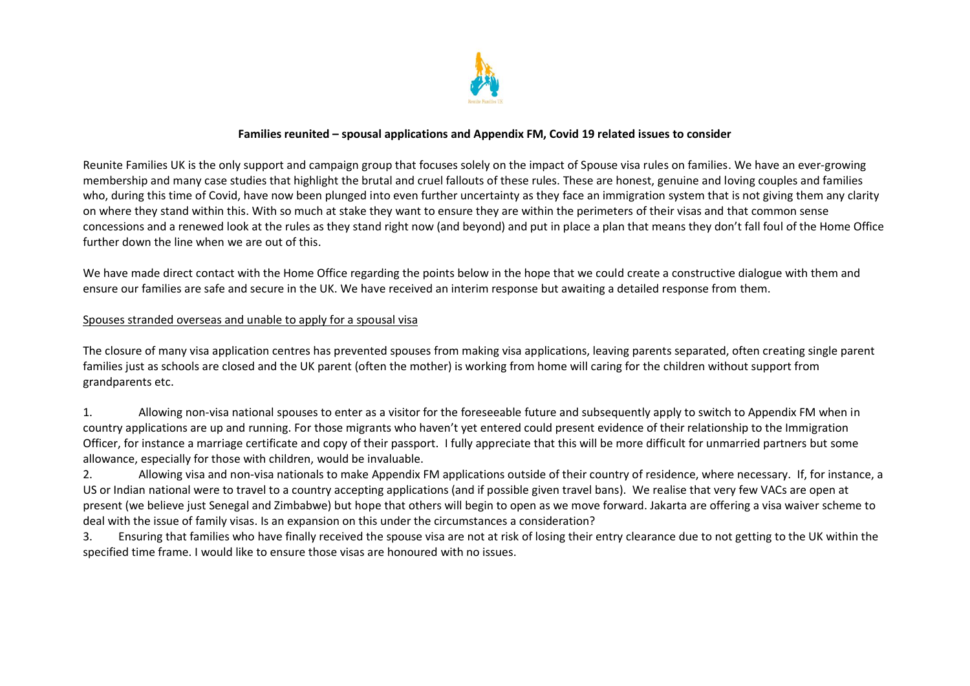

### **Families reunited – spousal applications and Appendix FM, Covid 19 related issues to consider**

Reunite Families UK is the only support and campaign group that focuses solely on the impact of Spouse visa rules on families. We have an ever-growing membership and many case studies that highlight the brutal and cruel fallouts of these rules. These are honest, genuine and loving couples and families who, during this time of Covid, have now been plunged into even further uncertainty as they face an immigration system that is not giving them any clarity on where they stand within this. With so much at stake they want to ensure they are within the perimeters of their visas and that common sense concessions and a renewed look at the rules as they stand right now (and beyond) and put in place a plan that means they don't fall foul of the Home Office further down the line when we are out of this.

We have made direct contact with the Home Office regarding the points below in the hope that we could create a constructive dialogue with them and ensure our families are safe and secure in the UK. We have received an interim response but awaiting a detailed response from them.

#### Spouses stranded overseas and unable to apply for a spousal visa

The closure of many visa application centres has prevented spouses from making visa applications, leaving parents separated, often creating single parent families just as schools are closed and the UK parent (often the mother) is working from home will caring for the children without support from grandparents etc.

1. Allowing non-visa national spouses to enter as a visitor for the foreseeable future and subsequently apply to switch to Appendix FM when in country applications are up and running. For those migrants who haven't yet entered could present evidence of their relationship to the Immigration Officer, for instance a marriage certificate and copy of their passport. I fully appreciate that this will be more difficult for unmarried partners but some allowance, especially for those with children, would be invaluable.

2. Allowing visa and non-visa nationals to make Appendix FM applications outside of their country of residence, where necessary. If, for instance, a US or Indian national were to travel to a country accepting applications (and if possible given travel bans). We realise that very few VACs are open at present (we believe just Senegal and Zimbabwe) but hope that others will begin to open as we move forward. Jakarta are offering a visa waiver scheme to deal with the issue of family visas. Is an expansion on this under the circumstances a consideration?

3. Ensuring that families who have finally received the spouse visa are not at risk of losing their entry clearance due to not getting to the UK within the specified time frame. I would like to ensure those visas are honoured with no issues.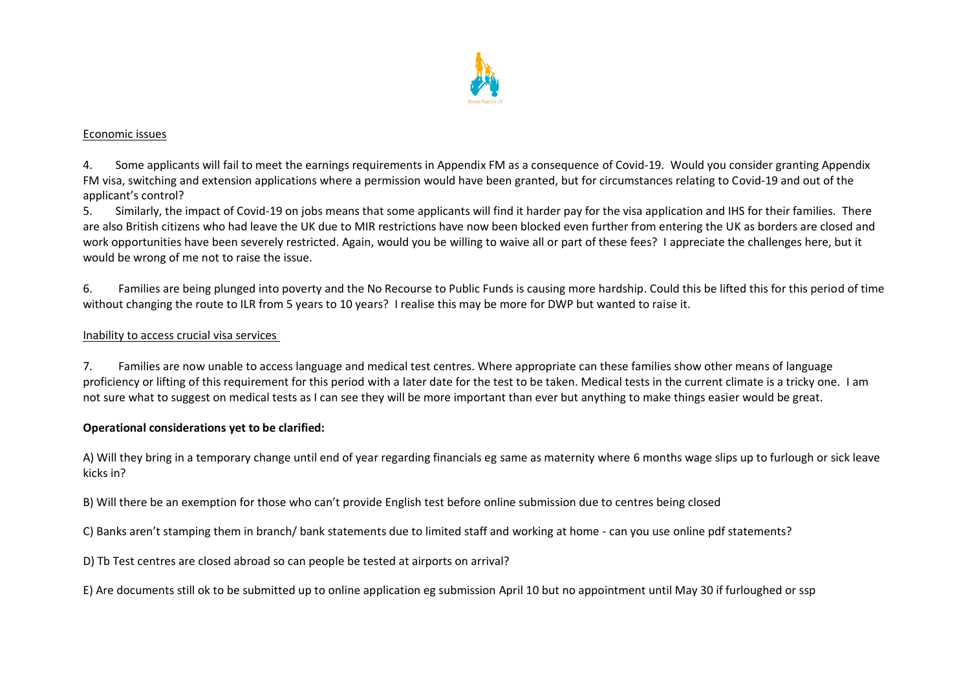

### Economic issues

4. Some applicants will fail to meet the earnings requirements in Appendix FM as a consequence of Covid-19. Would you consider granting Appendix FM visa, switching and extension applications where a permission would have been granted, but for circumstances relating to Covid-19 and out of the applicant's control?

5. Similarly, the impact of Covid-19 on jobs means that some applicants will find it harder pay for the visa application and IHS for their families. There are also British citizens who had leave the UK due to MIR restrictions have now been blocked even further from entering the UK as borders are closed and work opportunities have been severely restricted. Again, would you be willing to waive all or part of these fees? I appreciate the challenges here, but it would be wrong of me not to raise the issue.

6. Families are being plunged into poverty and the No Recourse to Public Funds is causing more hardship. Could this be lifted this for this period of time without changing the route to ILR from 5 years to 10 years? I realise this may be more for DWP but wanted to raise it.

### Inability to access crucial visa services

7. Families are now unable to access language and medical test centres. Where appropriate can these families show other means of language proficiency or lifting of this requirement for this period with a later date for the test to be taken. Medical tests in the current climate is a tricky one. I am not sure what to suggest on medical tests as I can see they will be more important than ever but anything to make things easier would be great.

## **Operational considerations yet to be clarified:**

A) Will they bring in a temporary change until end of year regarding financials eg same as maternity where 6 months wage slips up to furlough or sick leave kicks in?

B) Will there be an exemption for those who can't provide English test before online submission due to centres being closed

C) Banks aren't stamping them in branch/ bank statements due to limited staff and working at home - can you use online pdf statements?

D) Tb Test centres are closed abroad so can people be tested at airports on arrival?

E) Are documents still ok to be submitted up to online application eg submission April 10 but no appointment until May 30 if furloughed or ssp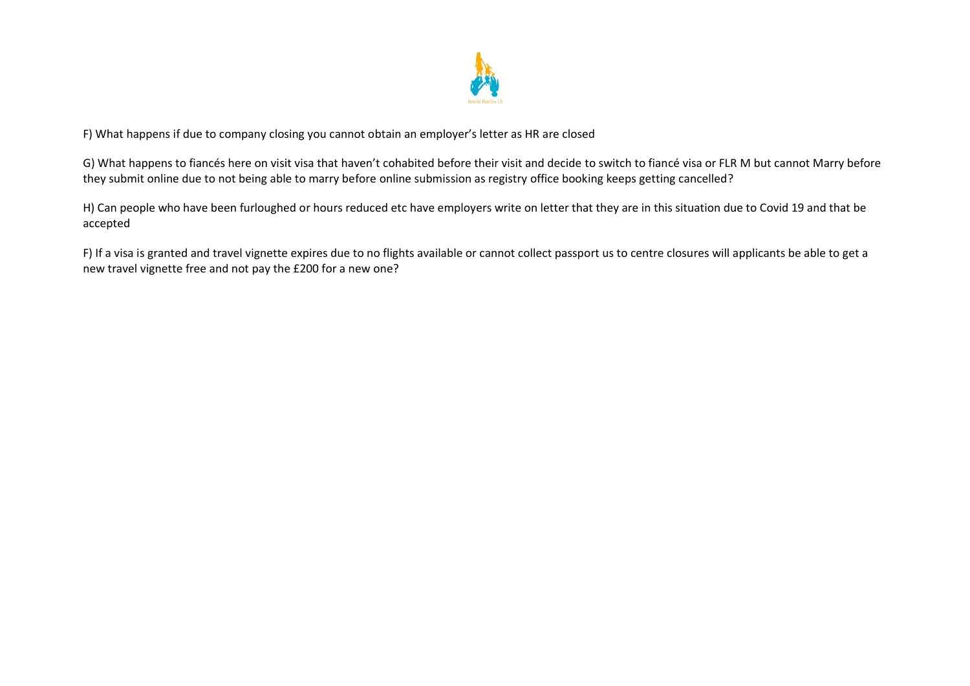

F) What happens if due to company closing you cannot obtain an employer's letter as HR are closed

G) What happens to fiancés here on visit visa that haven't cohabited before their visit and decide to switch to fiancé visa or FLR M but cannot Marry before they submit online due to not being able to marry before online submission as registry office booking keeps getting cancelled?

H) Can people who have been furloughed or hours reduced etc have employers write on letter that they are in this situation due to Covid 19 and that be accepted

F) If a visa is granted and travel vignette expires due to no flights available or cannot collect passport us to centre closures will applicants be able to get a new travel vignette free and not pay the £200 for a new one?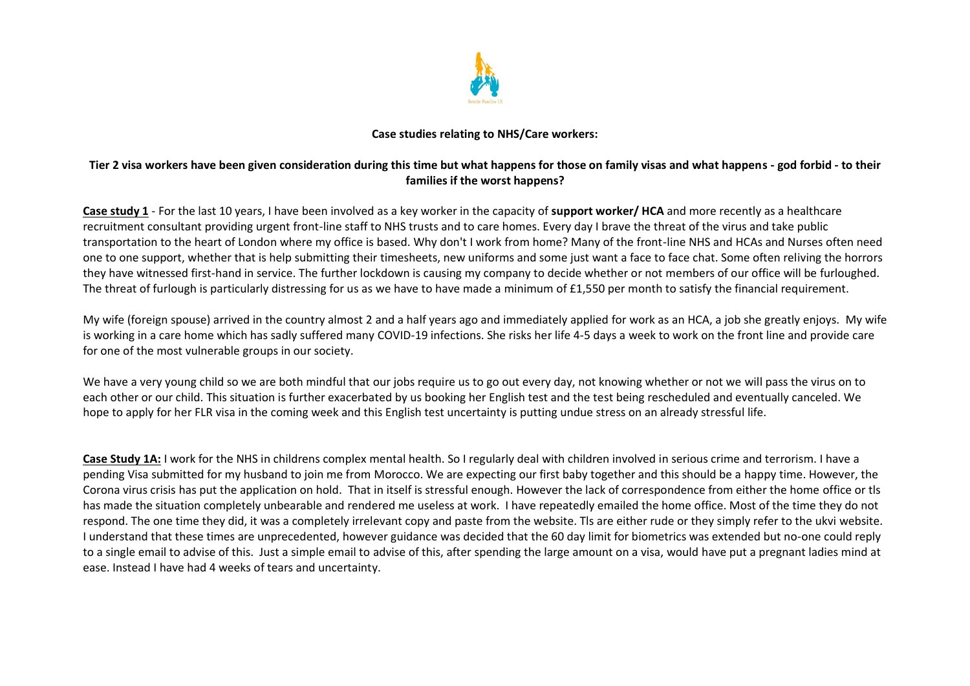

## **Case studies relating to NHS/Care workers:**

## **Tier 2 visa workers have been given consideration during this time but what happens for those on family visas and what happens - god forbid - to their families if the worst happens?**

**Case study 1** - For the last 10 years, I have been involved as a key worker in the capacity of **support worker/ HCA** and more recently as a healthcare recruitment consultant providing urgent front-line staff to NHS trusts and to care homes. Every day I brave the threat of the virus and take public transportation to the heart of London where my office is based. Why don't I work from home? Many of the front-line NHS and HCAs and Nurses often need one to one support, whether that is help submitting their timesheets, new uniforms and some just want a face to face chat. Some often reliving the horrors they have witnessed first-hand in service. The further lockdown is causing my company to decide whether or not members of our office will be furloughed. The threat of furlough is particularly distressing for us as we have to have made a minimum of £1,550 per month to satisfy the financial requirement.

My wife (foreign spouse) arrived in the country almost 2 and a half years ago and immediately applied for work as an HCA, a job she greatly enjoys. My wife is working in a care home which has sadly suffered many COVID-19 infections. She risks her life 4-5 days a week to work on the front line and provide care for one of the most vulnerable groups in our society.

We have a very young child so we are both mindful that our jobs require us to go out every day, not knowing whether or not we will pass the virus on to each other or our child. This situation is further exacerbated by us booking her English test and the test being rescheduled and eventually canceled. We hope to apply for her FLR visa in the coming week and this English test uncertainty is putting undue stress on an already stressful life.

**Case Study 1A:** I work for the NHS in childrens complex mental health. So I regularly deal with children involved in serious crime and terrorism. I have a pending Visa submitted for my husband to join me from Morocco. We are expecting our first baby together and this should be a happy time. However, the Corona virus crisis has put the application on hold. That in itself is stressful enough. However the lack of correspondence from either the home office or tls has made the situation completely unbearable and rendered me useless at work. I have repeatedly emailed the home office. Most of the time they do not respond. The one time they did, it was a completely irrelevant copy and paste from the website. Tls are either rude or they simply refer to the ukvi website. I understand that these times are unprecedented, however guidance was decided that the 60 day limit for biometrics was extended but no-one could reply to a single email to advise of this. Just a simple email to advise of this, after spending the large amount on a visa, would have put a pregnant ladies mind at ease. Instead I have had 4 weeks of tears and uncertainty.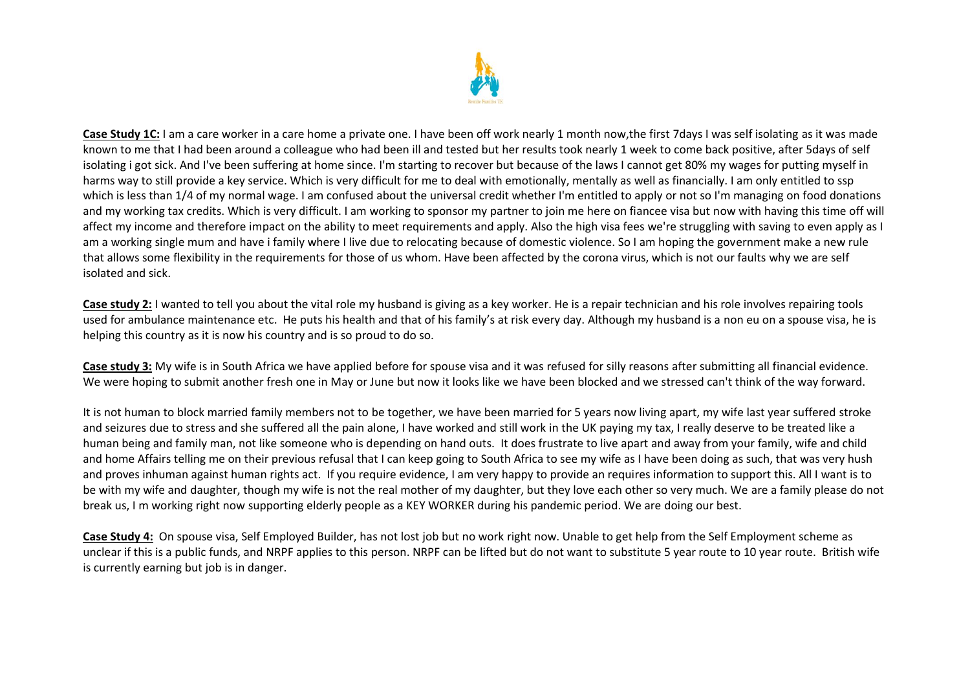

**Case Study 1C:** I am a care worker in a care home a private one. I have been off work nearly 1 month now,the first 7days I was self isolating as it was made known to me that I had been around a colleague who had been ill and tested but her results took nearly 1 week to come back positive, after 5days of self isolating i got sick. And I've been suffering at home since. I'm starting to recover but because of the laws I cannot get 80% my wages for putting myself in harms way to still provide a key service. Which is very difficult for me to deal with emotionally, mentally as well as financially. I am only entitled to ssp which is less than 1/4 of my normal wage. I am confused about the universal credit whether I'm entitled to apply or not so I'm managing on food donations and my working tax credits. Which is very difficult. I am working to sponsor my partner to join me here on fiancee visa but now with having this time off will affect my income and therefore impact on the ability to meet requirements and apply. Also the high visa fees we're struggling with saving to even apply as I am a working single mum and have i family where I live due to relocating because of domestic violence. So I am hoping the government make a new rule that allows some flexibility in the requirements for those of us whom. Have been affected by the corona virus, which is not our faults why we are self isolated and sick.

**Case study 2:** I wanted to tell you about the vital role my husband is giving as a key worker. He is a repair technician and his role involves repairing tools used for ambulance maintenance etc. He puts his health and that of his family's at risk every day. Although my husband is a non eu on a spouse visa, he is helping this country as it is now his country and is so proud to do so.

**Case study 3:** My wife is in South Africa we have applied before for spouse visa and it was refused for silly reasons after submitting all financial evidence. We were hoping to submit another fresh one in May or June but now it looks like we have been blocked and we stressed can't think of the way forward.

It is not human to block married family members not to be together, we have been married for 5 years now living apart, my wife last year suffered stroke and seizures due to stress and she suffered all the pain alone, I have worked and still work in the UK paying my tax, I really deserve to be treated like a human being and family man, not like someone who is depending on hand outs. It does frustrate to live apart and away from your family, wife and child and home Affairs telling me on their previous refusal that I can keep going to South Africa to see my wife as I have been doing as such, that was very hush and proves inhuman against human rights act. If you require evidence, I am very happy to provide an requires information to support this. All I want is to be with my wife and daughter, though my wife is not the real mother of my daughter, but they love each other so very much. We are a family please do not break us, I m working right now supporting elderly people as a KEY WORKER during his pandemic period. We are doing our best.

**Case Study 4:** On spouse visa, Self Employed Builder, has not lost job but no work right now. Unable to get help from the Self Employment scheme as unclear if this is a public funds, and NRPF applies to this person. NRPF can be lifted but do not want to substitute 5 year route to 10 year route. British wife is currently earning but job is in danger.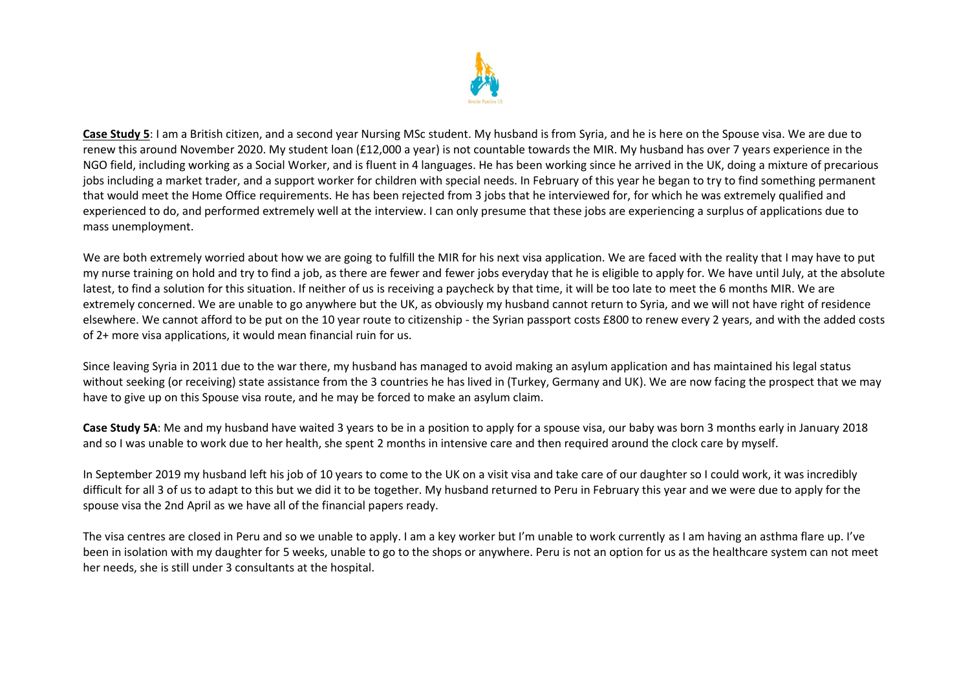

**Case Study 5**: I am a British citizen, and a second year Nursing MSc student. My husband is from Syria, and he is here on the Spouse visa. We are due to renew this around November 2020. My student loan (£12,000 a year) is not countable towards the MIR. My husband has over 7 years experience in the NGO field, including working as a Social Worker, and is fluent in 4 languages. He has been working since he arrived in the UK, doing a mixture of precarious jobs including a market trader, and a support worker for children with special needs. In February of this year he began to try to find something permanent that would meet the Home Office requirements. He has been rejected from 3 jobs that he interviewed for, for which he was extremely qualified and experienced to do, and performed extremely well at the interview. I can only presume that these jobs are experiencing a surplus of applications due to mass unemployment.

We are both extremely worried about how we are going to fulfill the MIR for his next visa application. We are faced with the reality that I may have to put my nurse training on hold and try to find a job, as there are fewer and fewer jobs everyday that he is eligible to apply for. We have until July, at the absolute latest, to find a solution for this situation. If neither of us is receiving a paycheck by that time, it will be too late to meet the 6 months MIR. We are extremely concerned. We are unable to go anywhere but the UK, as obviously my husband cannot return to Syria, and we will not have right of residence elsewhere. We cannot afford to be put on the 10 year route to citizenship - the Syrian passport costs £800 to renew every 2 years, and with the added costs of 2+ more visa applications, it would mean financial ruin for us.

Since leaving Syria in 2011 due to the war there, my husband has managed to avoid making an asylum application and has maintained his legal status without seeking (or receiving) state assistance from the 3 countries he has lived in (Turkey, Germany and UK). We are now facing the prospect that we may have to give up on this Spouse visa route, and he may be forced to make an asylum claim.

**Case Study 5A**: Me and my husband have waited 3 years to be in a position to apply for a spouse visa, our baby was born 3 months early in January 2018 and so I was unable to work due to her health, she spent 2 months in intensive care and then required around the clock care by myself.

In September 2019 my husband left his job of 10 years to come to the UK on a visit visa and take care of our daughter so I could work, it was incredibly difficult for all 3 of us to adapt to this but we did it to be together. My husband returned to Peru in February this year and we were due to apply for the spouse visa the 2nd April as we have all of the financial papers ready.

The visa centres are closed in Peru and so we unable to apply. I am a key worker but I'm unable to work currently as I am having an asthma flare up. I've been in isolation with my daughter for 5 weeks, unable to go to the shops or anywhere. Peru is not an option for us as the healthcare system can not meet her needs, she is still under 3 consultants at the hospital.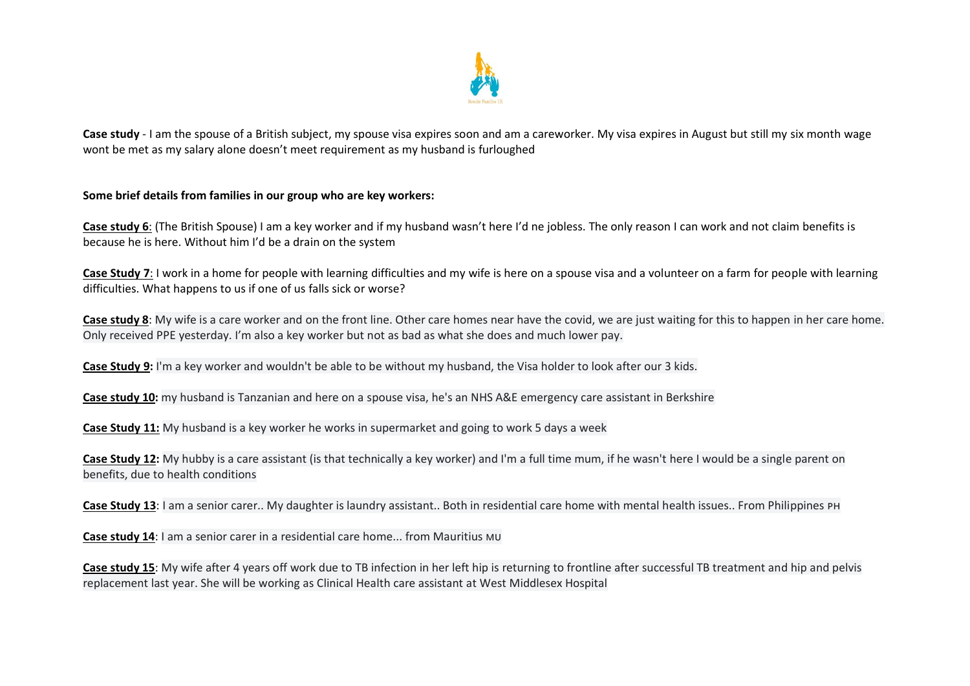

**Case study** - I am the spouse of a British subject, my spouse visa expires soon and am a careworker. My visa expires in August but still my six month wage wont be met as my salary alone doesn't meet requirement as my husband is furloughed

### **Some brief details from families in our group who are key workers:**

**Case study 6**: (The British Spouse) I am a key worker and if my husband wasn't here I'd ne jobless. The only reason I can work and not claim benefits is because he is here. Without him I'd be a drain on the system

**Case Study 7**: I work in a home for people with learning difficulties and my wife is here on a spouse visa and a volunteer on a farm for people with learning difficulties. What happens to us if one of us falls sick or worse?

**Case study 8**: My wife is a care worker and on the front line. Other care homes near have the covid, we are just waiting for this to happen in her care home. Only received PPE yesterday. I'm also a key worker but not as bad as what she does and much lower pay.

**Case Study 9:** I'm a key worker and wouldn't be able to be without my husband, the Visa holder to look after our 3 kids.

**Case study 10:** my husband is Tanzanian and here on a spouse visa, he's an NHS A&E emergency care assistant in Berkshire

**Case Study 11:** My husband is a key worker he works in supermarket and going to work 5 days a week

**Case Study 12:** My hubby is a care assistant (is that technically a key worker) and I'm a full time mum, if he wasn't here I would be a single parent on benefits, due to health conditions

**Case Study 13**: I am a senior carer.. My daughter is laundry assistant.. Both in residential care home with mental health issues.. From Philippines

**Case study 14:** I am a senior carer in a residential care home... from Mauritius MU

**Case study 15**: My wife after 4 years off work due to TB infection in her left hip is returning to frontline after successful TB treatment and hip and pelvis replacement last year. She will be working as Clinical Health care assistant at West Middlesex Hospital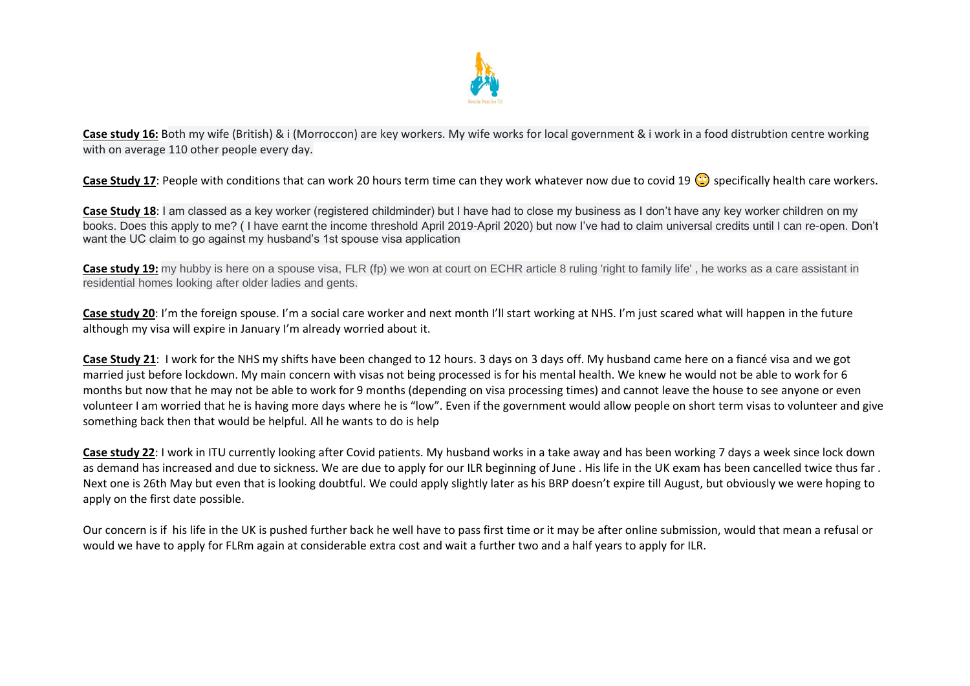

**Case study 16:** Both my wife (British) & i (Morroccon) are key workers. My wife works for local government & i work in a food distrubtion centre working with on average 110 other people every day.

Case Study 17: People with conditions that can work 20 hours term time can they work whatever now due to covid 19 **C** specifically health care workers.

**Case Study 18**: I am classed as a key worker (registered childminder) but I have had to close my business as I don't have any key worker children on my books. Does this apply to me? ( I have earnt the income threshold April 2019-April 2020) but now I've had to claim universal credits until I can re-open. Don't want the UC claim to go against my husband's 1st spouse visa application

**Case study 19:** my hubby is here on a spouse visa, FLR (fp) we won at court on ECHR article 8 ruling 'right to family life', he works as a care assistant in residential homes looking after older ladies and gents.

**Case study 20**: I'm the foreign spouse. I'm a social care worker and next month I'll start working at NHS. I'm just scared what will happen in the future although my visa will expire in January I'm already worried about it.

**Case Study 21**: I work for the NHS my shifts have been changed to 12 hours. 3 days on 3 days off. My husband came here on a fiancé visa and we got married just before lockdown. My main concern with visas not being processed is for his mental health. We knew he would not be able to work for 6 months but now that he may not be able to work for 9 months (depending on visa processing times) and cannot leave the house to see anyone or even volunteer I am worried that he is having more days where he is "low". Even if the government would allow people on short term visas to volunteer and give something back then that would be helpful. All he wants to do is help

**Case study 22**: I work in ITU currently looking after Covid patients. My husband works in a take away and has been working 7 days a week since lock down as demand has increased and due to sickness. We are due to apply for our ILR beginning of June . His life in the UK exam has been cancelled twice thus far . Next one is 26th May but even that is looking doubtful. We could apply slightly later as his BRP doesn't expire till August, but obviously we were hoping to apply on the first date possible.

Our concern is if his life in the UK is pushed further back he well have to pass first time or it may be after online submission, would that mean a refusal or would we have to apply for FLRm again at considerable extra cost and wait a further two and a half years to apply for ILR.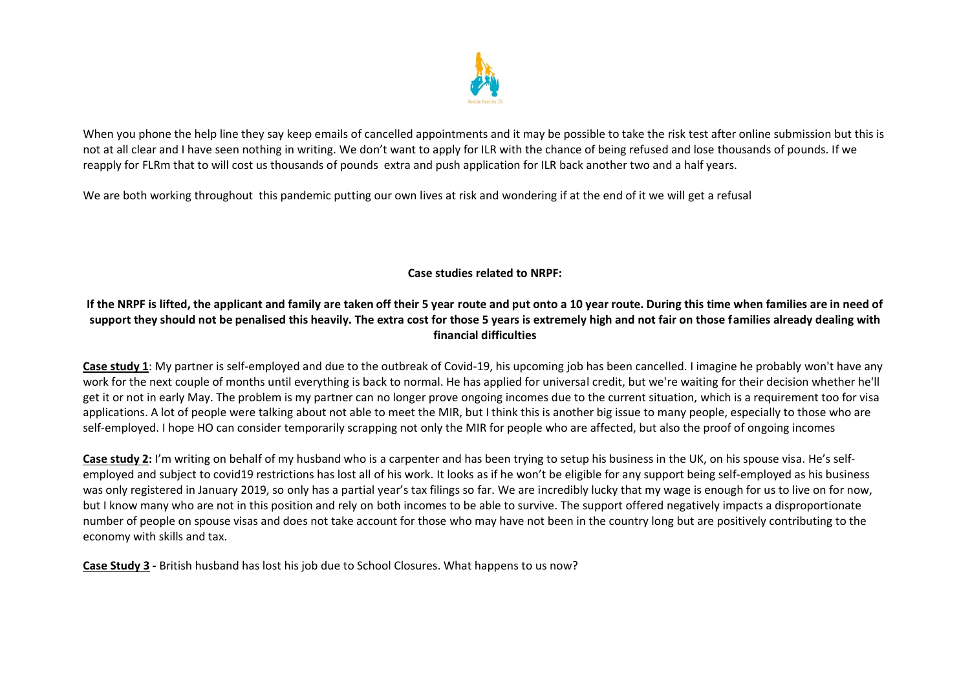

When you phone the help line they say keep emails of cancelled appointments and it may be possible to take the risk test after online submission but this is not at all clear and I have seen nothing in writing. We don't want to apply for ILR with the chance of being refused and lose thousands of pounds. If we reapply for FLRm that to will cost us thousands of pounds extra and push application for ILR back another two and a half years.

We are both working throughout this pandemic putting our own lives at risk and wondering if at the end of it we will get a refusal

**Case studies related to NRPF:**

# **If the NRPF is lifted, the applicant and family are taken off their 5 year route and put onto a 10 year route. During this time when families are in need of support they should not be penalised this heavily. The extra cost for those 5 years is extremely high and not fair on those families already dealing with financial difficulties**

**Case study 1**: My partner is self-employed and due to the outbreak of Covid-19, his upcoming job has been cancelled. I imagine he probably won't have any work for the next couple of months until everything is back to normal. He has applied for universal credit, but we're waiting for their decision whether he'll get it or not in early May. The problem is my partner can no longer prove ongoing incomes due to the current situation, which is a requirement too for visa applications. A lot of people were talking about not able to meet the MIR, but I think this is another big issue to many people, especially to those who are self-employed. I hope HO can consider temporarily scrapping not only the MIR for people who are affected, but also the proof of ongoing incomes

**Case study 2:** I'm writing on behalf of my husband who is a carpenter and has been trying to setup his business in the UK, on his spouse visa. He's selfemployed and subject to covid19 restrictions has lost all of his work. It looks as if he won't be eligible for any support being self-employed as his business was only registered in January 2019, so only has a partial year's tax filings so far. We are incredibly lucky that my wage is enough for us to live on for now, but I know many who are not in this position and rely on both incomes to be able to survive. The support offered negatively impacts a disproportionate number of people on spouse visas and does not take account for those who may have not been in the country long but are positively contributing to the economy with skills and tax.

**Case Study 3 -** British husband has lost his job due to School Closures. What happens to us now?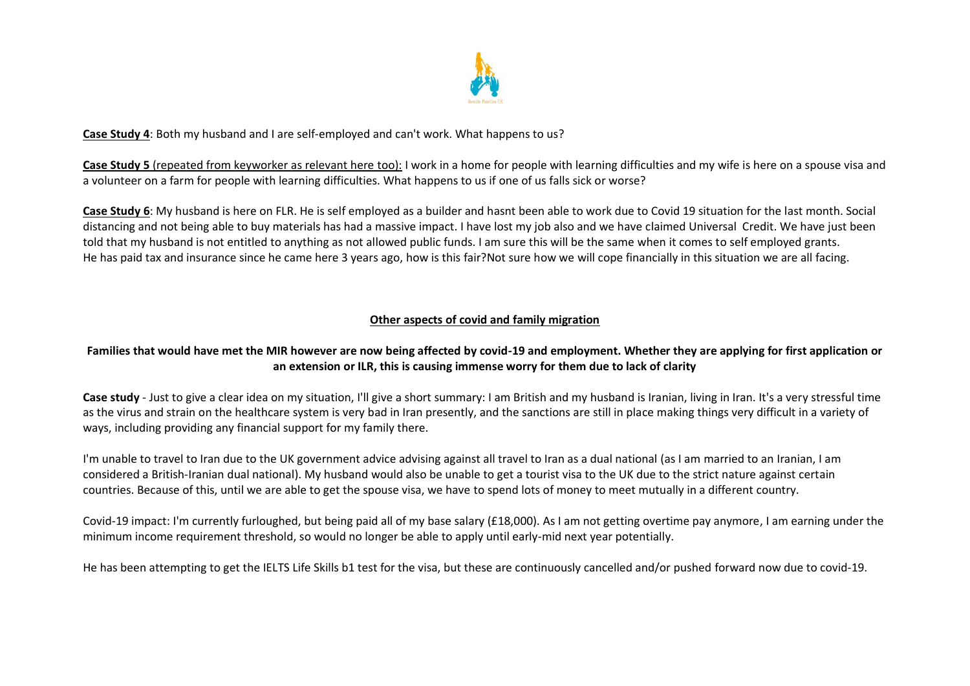

### **Case Study 4**: Both my husband and I are self-employed and can't work. What happens to us?

**Case Study 5** (repeated from keyworker as relevant here too): I work in a home for people with learning difficulties and my wife is here on a spouse visa and a volunteer on a farm for people with learning difficulties. What happens to us if one of us falls sick or worse?

**Case Study 6**: My husband is here on FLR. He is self employed as a builder and hasnt been able to work due to Covid 19 situation for the last month. Social distancing and not being able to buy materials has had a massive impact. I have lost my job also and we have claimed Universal Credit. We have just been told that my husband is not entitled to anything as not allowed public funds. I am sure this will be the same when it comes to self employed grants. He has paid tax and insurance since he came here 3 years ago, how is this fair?Not sure how we will cope financially in this situation we are all facing.

### **Other aspects of covid and family migration**

# **Families that would have met the MIR however are now being affected by covid-19 and employment. Whether they are applying for first application or an extension or ILR, this is causing immense worry for them due to lack of clarity**

Case study - Just to give a clear idea on my situation, I'll give a short summary: I am British and my husband is Iranian, living in Iran. It's a very stressful time as the virus and strain on the healthcare system is very bad in Iran presently, and the sanctions are still in place making things very difficult in a variety of ways, including providing any financial support for my family there.

I'm unable to travel to Iran due to the UK government advice advising against all travel to Iran as a dual national (as I am married to an Iranian, I am considered a British-Iranian dual national). My husband would also be unable to get a tourist visa to the UK due to the strict nature against certain countries. Because of this, until we are able to get the spouse visa, we have to spend lots of money to meet mutually in a different country.

Covid-19 impact: I'm currently furloughed, but being paid all of my base salary (£18,000). As I am not getting overtime pay anymore, I am earning under the minimum income requirement threshold, so would no longer be able to apply until early-mid next year potentially.

He has been attempting to get the IELTS Life Skills b1 test for the visa, but these are continuously cancelled and/or pushed forward now due to covid-19.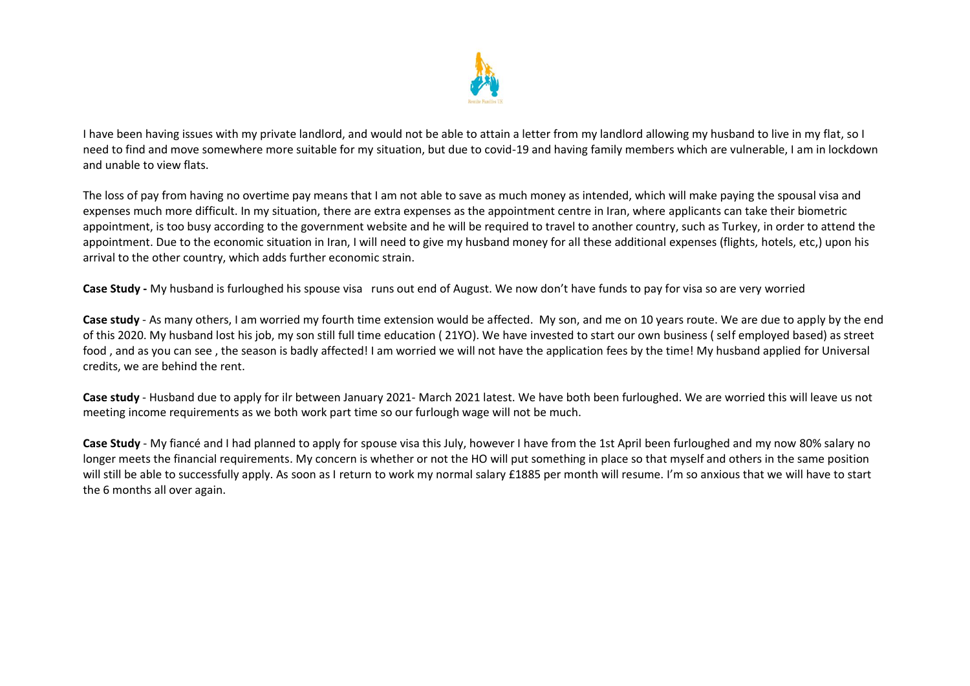

I have been having issues with my private landlord, and would not be able to attain a letter from my landlord allowing my husband to live in my flat, so I need to find and move somewhere more suitable for my situation, but due to covid-19 and having family members which are vulnerable, I am in lockdown and unable to view flats.

The loss of pay from having no overtime pay means that I am not able to save as much money as intended, which will make paying the spousal visa and expenses much more difficult. In my situation, there are extra expenses as the appointment centre in Iran, where applicants can take their biometric appointment, is too busy according to the government website and he will be required to travel to another country, such as Turkey, in order to attend the appointment. Due to the economic situation in Iran, I will need to give my husband money for all these additional expenses (flights, hotels, etc.) upon his arrival to the other country, which adds further economic strain.

**Case Study -** My husband is furloughed his spouse visa runs out end of August. We now don't have funds to pay for visa so are very worried

**Case study** - As many others, I am worried my fourth time extension would be affected. My son, and me on 10 years route. We are due to apply by the end of this 2020. My husband lost his job, my son still full time education ( 21YO). We have invested to start our own business ( self employed based) as street food , and as you can see , the season is badly affected! I am worried we will not have the application fees by the time! My husband applied for Universal credits, we are behind the rent.

**Case study** - Husband due to apply for ilr between January 2021- March 2021 latest. We have both been furloughed. We are worried this will leave us not meeting income requirements as we both work part time so our furlough wage will not be much.

**Case Study** - My fiancé and I had planned to apply for spouse visa this July, however I have from the 1st April been furloughed and my now 80% salary no longer meets the financial requirements. My concern is whether or not the HO will put something in place so that myself and others in the same position will still be able to successfully apply. As soon as I return to work my normal salary £1885 per month will resume. I'm so anxious that we will have to start the 6 months all over again.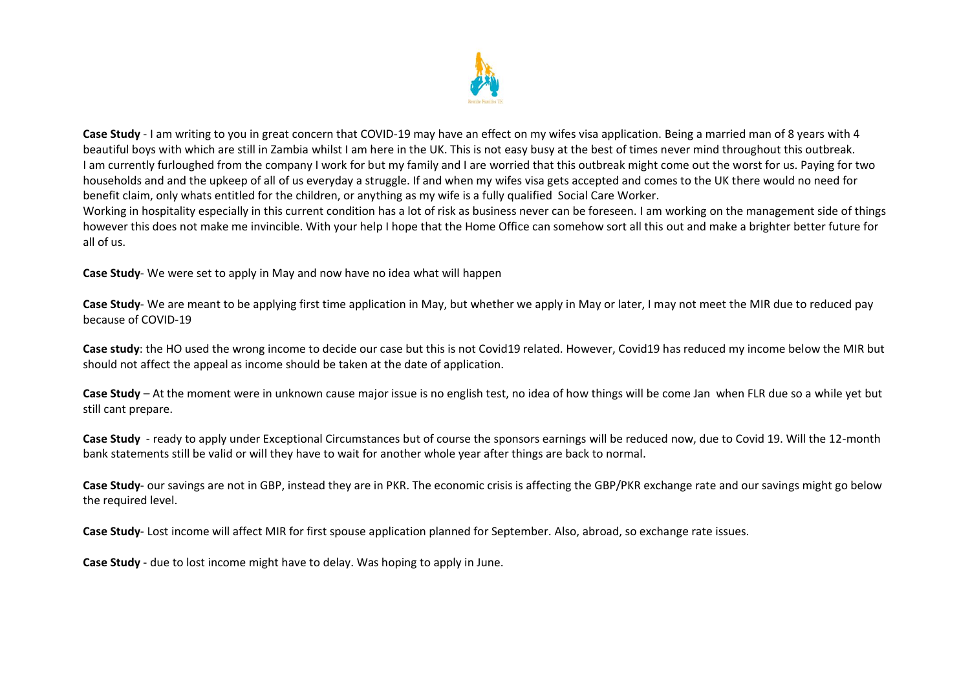

**Case Study** - I am writing to you in great concern that COVID-19 may have an effect on my wifes visa application. Being a married man of 8 years with 4 beautiful boys with which are still in Zambia whilst I am here in the UK. This is not easy busy at the best of times never mind throughout this outbreak. I am currently furloughed from the company I work for but my family and I are worried that this outbreak might come out the worst for us. Paying for two households and and the upkeep of all of us everyday a struggle. If and when my wifes visa gets accepted and comes to the UK there would no need for benefit claim, only whats entitled for the children, or anything as my wife is a fully qualified Social Care Worker.

Working in hospitality especially in this current condition has a lot of risk as business never can be foreseen. I am working on the management side of things however this does not make me invincible. With your help I hope that the Home Office can somehow sort all this out and make a brighter better future for all of us.

**Case Study**- We were set to apply in May and now have no idea what will happen

**Case Study**- We are meant to be applying first time application in May, but whether we apply in May or later, I may not meet the MIR due to reduced pay because of COVID-19

**Case study**: the HO used the wrong income to decide our case but this is not Covid19 related. However, Covid19 has reduced my income below the MIR but should not affect the appeal as income should be taken at the date of application.

**Case Study** – At the moment were in unknown cause major issue is no english test, no idea of how things will be come Jan when FLR due so a while yet but still cant prepare.

**Case Study** - ready to apply under Exceptional Circumstances but of course the sponsors earnings will be reduced now, due to Covid 19. Will the 12-month bank statements still be valid or will they have to wait for another whole year after things are back to normal.

**Case Study**- our savings are not in GBP, instead they are in PKR. The economic crisis is affecting the GBP/PKR exchange rate and our savings might go below the required level.

**Case Study**- Lost income will affect MIR for first spouse application planned for September. Also, abroad, so exchange rate issues.

**Case Study** - due to lost income might have to delay. Was hoping to apply in June.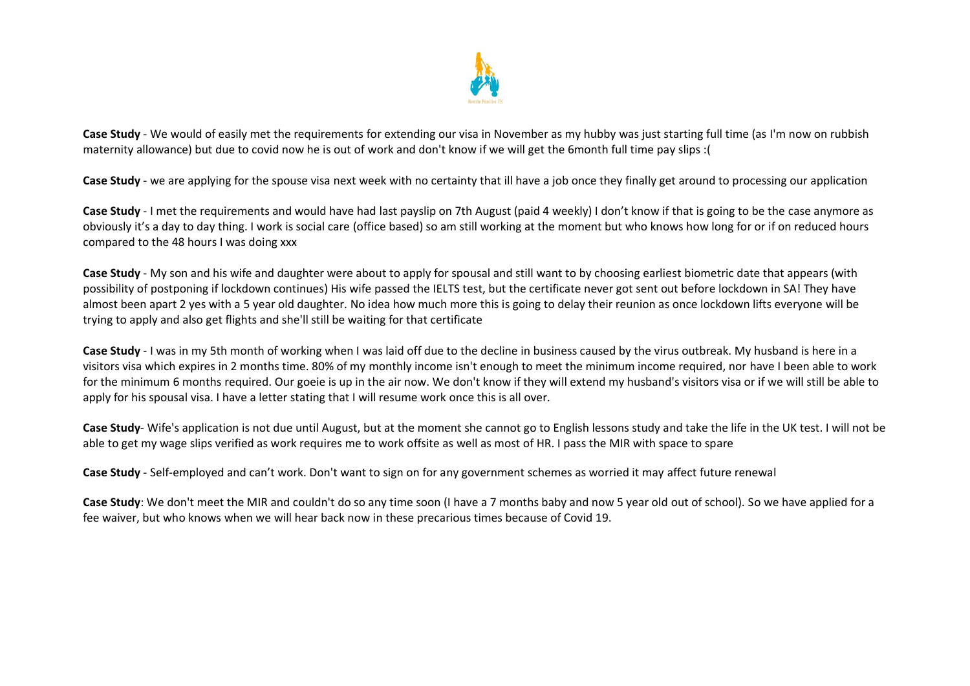

**Case Study** - We would of easily met the requirements for extending our visa in November as my hubby was just starting full time (as I'm now on rubbish maternity allowance) but due to covid now he is out of work and don't know if we will get the 6month full time pay slips :(

Case Study - we are applying for the spouse visa next week with no certainty that ill have a job once they finally get around to processing our application

**Case Study** - I met the requirements and would have had last payslip on 7th August (paid 4 weekly) I don't know if that is going to be the case anymore as obviously it's a day to day thing. I work is social care (office based) so am still working at the moment but who knows how long for or if on reduced hours compared to the 48 hours I was doing xxx

**Case Study** - My son and his wife and daughter were about to apply for spousal and still want to by choosing earliest biometric date that appears (with possibility of postponing if lockdown continues) His wife passed the IELTS test, but the certificate never got sent out before lockdown in SA! They have almost been apart 2 yes with a 5 year old daughter. No idea how much more this is going to delay their reunion as once lockdown lifts everyone will be trying to apply and also get flights and she'll still be waiting for that certificate

**Case Study** - I was in my 5th month of working when I was laid off due to the decline in business caused by the virus outbreak. My husband is here in a visitors visa which expires in 2 months time. 80% of my monthly income isn't enough to meet the minimum income required, nor have I been able to work for the minimum 6 months required. Our goeie is up in the air now. We don't know if they will extend my husband's visitors visa or if we will still be able to apply for his spousal visa. I have a letter stating that I will resume work once this is all over.

**Case Study**- Wife's application is not due until August, but at the moment she cannot go to English lessons study and take the life in the UK test. I will not be able to get my wage slips verified as work requires me to work offsite as well as most of HR. I pass the MIR with space to spare

**Case Study** - Self-employed and can't work. Don't want to sign on for any government schemes as worried it may affect future renewal

**Case Study**: We don't meet the MIR and couldn't do so any time soon (I have a 7 months baby and now 5 year old out of school). So we have applied for a fee waiver, but who knows when we will hear back now in these precarious times because of Covid 19.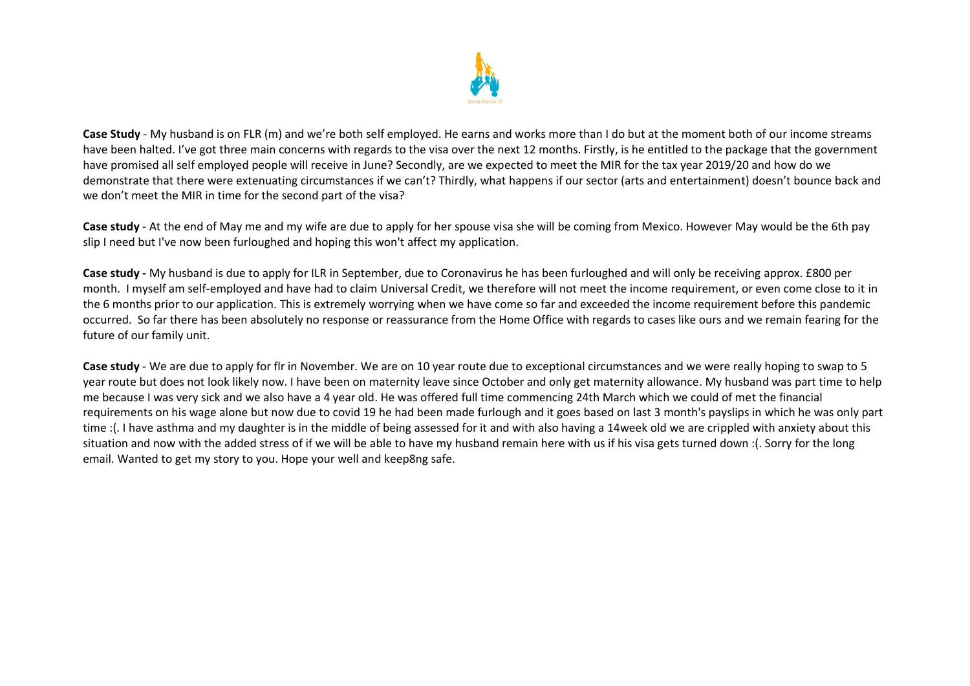

**Case Study** - My husband is on FLR (m) and we're both self employed. He earns and works more than I do but at the moment both of our income streams have been halted. I've got three main concerns with regards to the visa over the next 12 months. Firstly, is he entitled to the package that the government have promised all self employed people will receive in June? Secondly, are we expected to meet the MIR for the tax year 2019/20 and how do we demonstrate that there were extenuating circumstances if we can't? Thirdly, what happens if our sector (arts and entertainment) doesn't bounce back and we don't meet the MIR in time for the second part of the visa?

**Case study** - At the end of May me and my wife are due to apply for her spouse visa she will be coming from Mexico. However May would be the 6th pay slip I need but I've now been furloughed and hoping this won't affect my application.

**Case study -** My husband is due to apply for ILR in September, due to Coronavirus he has been furloughed and will only be receiving approx. £800 per month. I myself am self-employed and have had to claim Universal Credit, we therefore will not meet the income requirement, or even come close to it in the 6 months prior to our application. This is extremely worrying when we have come so far and exceeded the income requirement before this pandemic occurred. So far there has been absolutely no response or reassurance from the Home Office with regards to cases like ours and we remain fearing for the future of our family unit.

**Case study** - We are due to apply for flr in November. We are on 10 year route due to exceptional circumstances and we were really hoping to swap to 5 year route but does not look likely now. I have been on maternity leave since October and only get maternity allowance. My husband was part time to help me because I was very sick and we also have a 4 year old. He was offered full time commencing 24th March which we could of met the financial requirements on his wage alone but now due to covid 19 he had been made furlough and it goes based on last 3 month's payslips in which he was only part time :(. I have asthma and my daughter is in the middle of being assessed for it and with also having a 14week old we are crippled with anxiety about this situation and now with the added stress of if we will be able to have my husband remain here with us if his visa gets turned down :(. Sorry for the long email. Wanted to get my story to you. Hope your well and keep8ng safe.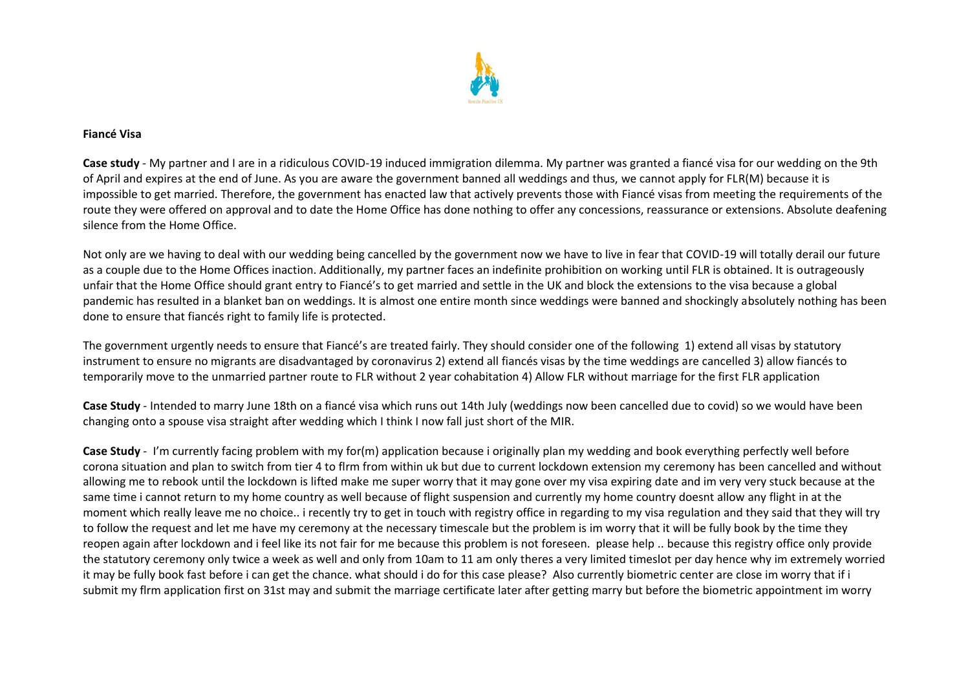

#### **Fiancé Visa**

**Case study** - My partner and I are in a ridiculous COVID-19 induced immigration dilemma. My partner was granted a fiancé visa for our wedding on the 9th of April and expires at the end of June. As you are aware the government banned all weddings and thus, we cannot apply for FLR(M) because it is impossible to get married. Therefore, the government has enacted law that actively prevents those with Fiancé visas from meeting the requirements of the route they were offered on approval and to date the Home Office has done nothing to offer any concessions, reassurance or extensions. Absolute deafening silence from the Home Office.

Not only are we having to deal with our wedding being cancelled by the government now we have to live in fear that COVID-19 will totally derail our future as a couple due to the Home Offices inaction. Additionally, my partner faces an indefinite prohibition on working until FLR is obtained. It is outrageously unfair that the Home Office should grant entry to Fiancé's to get married and settle in the UK and block the extensions to the visa because a global pandemic has resulted in a blanket ban on weddings. It is almost one entire month since weddings were banned and shockingly absolutely nothing has been done to ensure that fiancés right to family life is protected.

The government urgently needs to ensure that Fiancé's are treated fairly. They should consider one of the following 1) extend all visas by statutory instrument to ensure no migrants are disadvantaged by coronavirus 2) extend all fiancés visas by the time weddings are cancelled 3) allow fiancés to temporarily move to the unmarried partner route to FLR without 2 year cohabitation 4) Allow FLR without marriage for the first FLR application

**Case Study** - Intended to marry June 18th on a fiancé visa which runs out 14th July (weddings now been cancelled due to covid) so we would have been changing onto a spouse visa straight after wedding which I think I now fall just short of the MIR.

**Case Study** - I'm currently facing problem with my for(m) application because i originally plan my wedding and book everything perfectly well before corona situation and plan to switch from tier 4 to flrm from within uk but due to current lockdown extension my ceremony has been cancelled and without allowing me to rebook until the lockdown is lifted make me super worry that it may gone over my visa expiring date and im very very stuck because at the same time i cannot return to my home country as well because of flight suspension and currently my home country doesnt allow any flight in at the moment which really leave me no choice.. i recently try to get in touch with registry office in regarding to my visa regulation and they said that they will try to follow the request and let me have my ceremony at the necessary timescale but the problem is im worry that it will be fully book by the time they reopen again after lockdown and i feel like its not fair for me because this problem is not foreseen. please help .. because this registry office only provide the statutory ceremony only twice a week as well and only from 10am to 11 am only theres a very limited timeslot per day hence why im extremely worried it may be fully book fast before i can get the chance. what should i do for this case please? Also currently biometric center are close im worry that if i submit my flrm application first on 31st may and submit the marriage certificate later after getting marry but before the biometric appointment im worry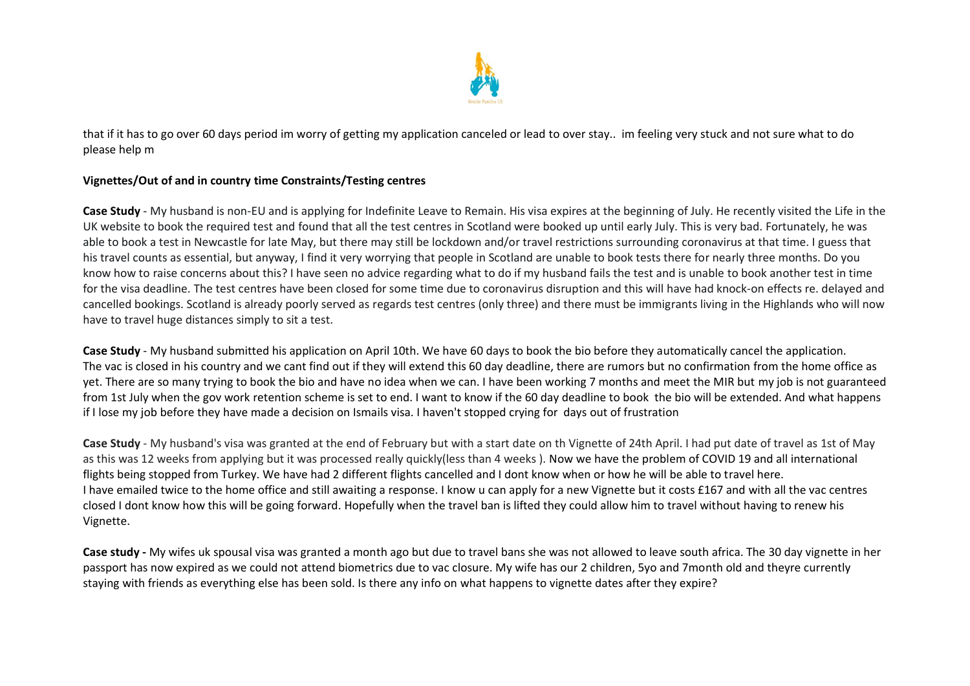

that if it has to go over 60 days period im worry of getting my application canceled or lead to over stay.. im feeling very stuck and not sure what to do please help m

### **Vignettes/Out of and in country time Constraints/Testing centres**

**Case Study** - My husband is non-EU and is applying for Indefinite Leave to Remain. His visa expires at the beginning of July. He recently visited the Life in the UK website to book the required test and found that all the test centres in Scotland were booked up until early July. This is very bad. Fortunately, he was able to book a test in Newcastle for late May, but there may still be lockdown and/or travel restrictions surrounding coronavirus at that time. I guess that his travel counts as essential, but anyway, I find it very worrying that people in Scotland are unable to book tests there for nearly three months. Do you know how to raise concerns about this? I have seen no advice regarding what to do if my husband fails the test and is unable to book another test in time for the visa deadline. The test centres have been closed for some time due to coronavirus disruption and this will have had knock-on effects re. delayed and cancelled bookings. Scotland is already poorly served as regards test centres (only three) and there must be immigrants living in the Highlands who will now have to travel huge distances simply to sit a test.

**Case Study** - My husband submitted his application on April 10th. We have 60 days to book the bio before they automatically cancel the application. The vac is closed in his country and we cant find out if they will extend this 60 day deadline, there are rumors but no confirmation from the home office as yet. There are so many trying to book the bio and have no idea when we can. I have been working 7 months and meet the MIR but my job is not guaranteed from 1st July when the gov work retention scheme is set to end. I want to know if the 60 day deadline to book the bio will be extended. And what happens if I lose my job before they have made a decision on Ismails visa. I haven't stopped crying for days out of frustration

**Case Study** - My husband's visa was granted at the end of February but with a start date on th Vignette of 24th April. I had put date of travel as 1st of May as this was 12 weeks from applying but it was processed really quickly(less than 4 weeks ). Now we have the problem of COVID 19 and all international flights being stopped from Turkey. We have had 2 different flights cancelled and I dont know when or how he will be able to travel here. I have emailed twice to the home office and still awaiting a response. I know u can apply for a new Vignette but it costs £167 and with all the vac centres closed I dont know how this will be going forward. Hopefully when the travel ban is lifted they could allow him to travel without having to renew his Vignette.

**Case study -** My wifes uk spousal visa was granted a month ago but due to travel bans she was not allowed to leave south africa. The 30 day vignette in her passport has now expired as we could not attend biometrics due to vac closure. My wife has our 2 children, 5yo and 7month old and theyre currently staying with friends as everything else has been sold. Is there any info on what happens to vignette dates after they expire?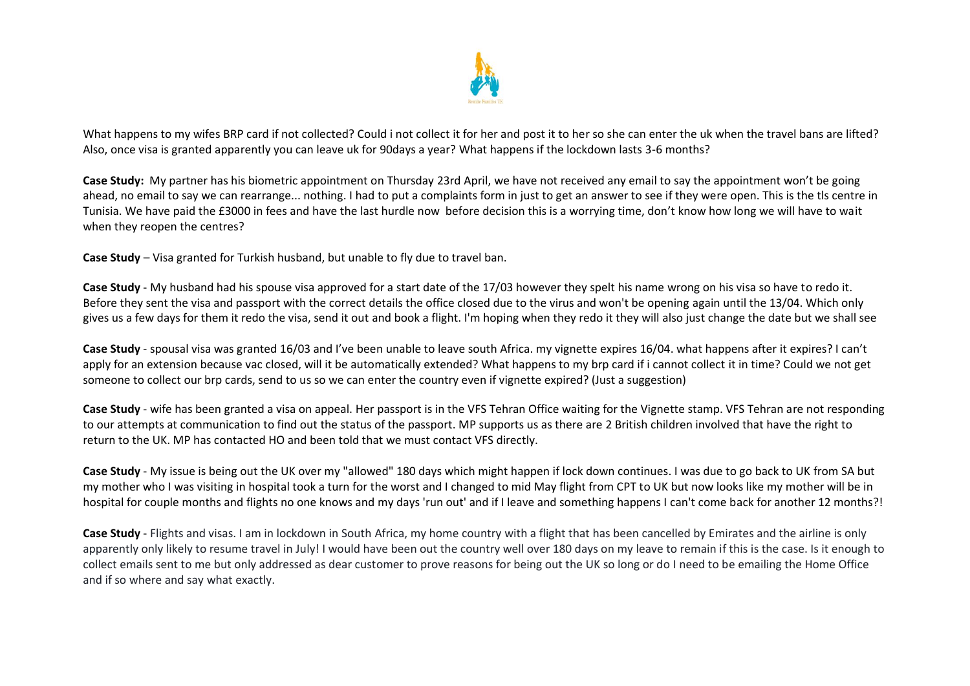

What happens to my wifes BRP card if not collected? Could i not collect it for her and post it to her so she can enter the uk when the travel bans are lifted? Also, once visa is granted apparently you can leave uk for 90days a year? What happens if the lockdown lasts 3-6 months?

**Case Study:** My partner has his biometric appointment on Thursday 23rd April, we have not received any email to say the appointment won't be going ahead, no email to say we can rearrange... nothing. I had to put a complaints form in just to get an answer to see if they were open. This is the tls centre in Tunisia. We have paid the £3000 in fees and have the last hurdle now before decision this is a worrying time, don't know how long we will have to wait when they reopen the centres?

**Case Study** – Visa granted for Turkish husband, but unable to fly due to travel ban.

**Case Study** - My husband had his spouse visa approved for a start date of the 17/03 however they spelt his name wrong on his visa so have to redo it. Before they sent the visa and passport with the correct details the office closed due to the virus and won't be opening again until the 13/04. Which only gives us a few days for them it redo the visa, send it out and book a flight. I'm hoping when they redo it they will also just change the date but we shall see

**Case Study** - spousal visa was granted 16/03 and I've been unable to leave south Africa. my vignette expires 16/04. what happens after it expires? I can't apply for an extension because vac closed, will it be automatically extended? What happens to my brp card if i cannot collect it in time? Could we not get someone to collect our brp cards, send to us so we can enter the country even if vignette expired? (Just a suggestion)

**Case Study** - wife has been granted a visa on appeal. Her passport is in the VFS Tehran Office waiting for the Vignette stamp. VFS Tehran are not responding to our attempts at communication to find out the status of the passport. MP supports us as there are 2 British children involved that have the right to return to the UK. MP has contacted HO and been told that we must contact VFS directly.

**Case Study** - My issue is being out the UK over my "allowed" 180 days which might happen if lock down continues. I was due to go back to UK from SA but my mother who I was visiting in hospital took a turn for the worst and I changed to mid May flight from CPT to UK but now looks like my mother will be in hospital for couple months and flights no one knows and my days 'run out' and if I leave and something happens I can't come back for another 12 months?!

**Case Study** - Flights and visas. I am in lockdown in South Africa, my home country with a flight that has been cancelled by Emirates and the airline is only apparently only likely to resume travel in July! I would have been out the country well over 180 days on my leave to remain if this is the case. Is it enough to collect emails sent to me but only addressed as dear customer to prove reasons for being out the UK so long or do I need to be emailing the Home Office and if so where and say what exactly.